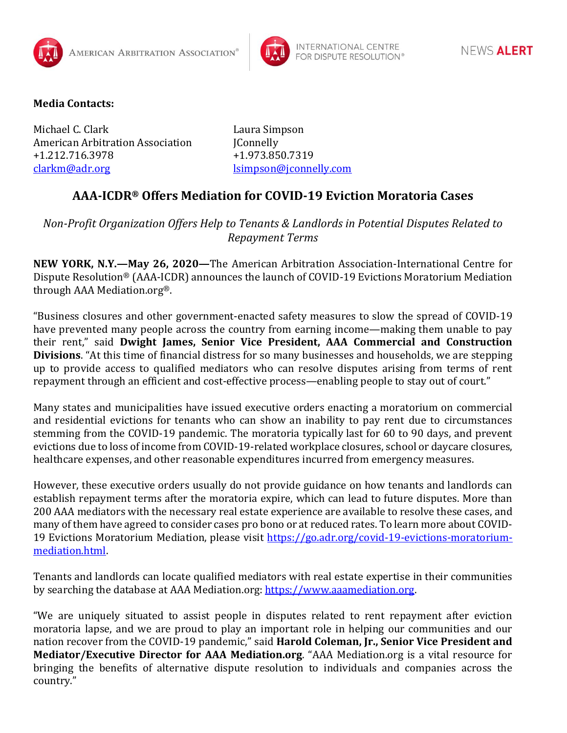



## **Media Contacts:**

Michael C. Clark Laura Simpson American Arbitration Association JConnelly +1.212.716.3978 +1.973.850.7319 [clarkm@adr.org](mailto:clarkm@adr.org) [lsimpson@jconnelly.com](mailto:lsimpson@jconnelly.com)

## **AAA-ICDR® Offers Mediation for COVID-19 Eviction Moratoria Cases**

*Non-Profit Organization Offers Help to Tenants & Landlords in Potential Disputes Related to Repayment Terms*

**NEW YORK, N.Y.—May 26, 2020—**The American Arbitration Association-International Centre for Dispute Resolution® (AAA-ICDR) announces the launch of COVID-19 Evictions Moratorium Mediation through AAA Mediation.org®.

"Business closures and other government-enacted safety measures to slow the spread of COVID-19 have prevented many people across the country from earning income—making them unable to pay their rent," said **Dwight James, Senior Vice President, AAA Commercial and Construction Divisions**. "At this time of financial distress for so many businesses and households, we are stepping up to provide access to qualified mediators who can resolve disputes arising from terms of rent repayment through an efficient and cost-effective process—enabling people to stay out of court."

Many states and municipalities have issued executive orders enacting a moratorium on commercial and residential evictions for tenants who can show an inability to pay rent due to circumstances stemming from the COVID-19 pandemic. The moratoria typically last for 60 to 90 days, and prevent evictions due to loss of income from COVID-19-related workplace closures, school or daycare closures, healthcare expenses, and other reasonable expenditures incurred from emergency measures.

However, these executive orders usually do not provide guidance on how tenants and landlords can establish repayment terms after the moratoria expire, which can lead to future disputes. More than 200 AAA mediators with the necessary real estate experience are available to resolve these cases, and many of them have agreed to consider cases pro bono or at reduced rates. To learn more about COVID19 Evictions Moratorium Mediation, please visit [https://go.adr.org/covid-19-evictions-moratorium](https://go.adr.org/covid-19-evictions-moratorium-mediation.html)[mediation.html.](https://go.adr.org/covid-19-evictions-moratorium-mediation.html)

Tenants and landlords can locate qualified mediators with real estate expertise in their communities by searching the database at AAA Mediation.org: [https://www.aaamediation.org.](https://www.aaamediation.org/)

"We are uniquely situated to assist people in disputes related to rent repayment after eviction moratoria lapse, and we are proud to play an important role in helping our communities and our nation recover from the COVID-19 pandemic," said **Harold Coleman, Jr., Senior Vice President and Mediator/Executive Director for AAA Mediation.org**. "AAA Mediation.org is a vital resource for bringing the benefits of alternative dispute resolution to individuals and companies across the country."